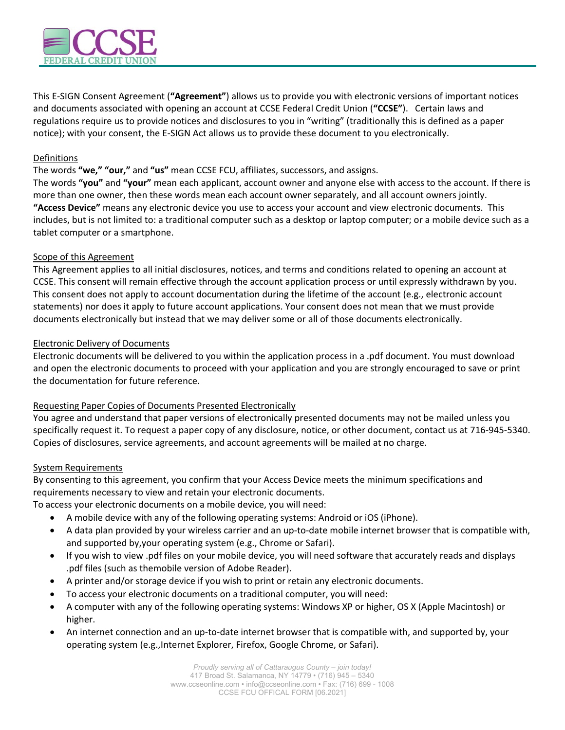

This E-SIGN Consent Agreement (**"Agreement"**) allows us to provide you with electronic versions of important notices and documents associated with opening an account at CCSE Federal Credit Union (**"CCSE"**). Certain laws and regulations require us to provide notices and disclosures to you in "writing" (traditionally this is defined as a paper notice); with your consent, the E-SIGN Act allows us to provide these document to you electronically.

# Definitions

The words **"we," "our,"** and **"us"** mean CCSE FCU, affiliates, successors, and assigns.

The words **"you"** and **"your"** mean each applicant, account owner and anyone else with access to the account. If there is more than one owner, then these words mean each account owner separately, and all account owners jointly. **"Access Device"** means any electronic device you use to access your account and view electronic documents. This includes, but is not limited to: a traditional computer such as a desktop or laptop computer; or a mobile device such as a tablet computer or a smartphone.

# Scope of this Agreement

This Agreement applies to all initial disclosures, notices, and terms and conditions related to opening an account at CCSE. This consent will remain effective through the account application process or until expressly withdrawn by you. This consent does not apply to account documentation during the lifetime of the account (e.g., electronic account statements) nor does it apply to future account applications. Your consent does not mean that we must provide documents electronically but instead that we may deliver some or all of those documents electronically.

## Electronic Delivery of Documents

Electronic documents will be delivered to you within the application process in a .pdf document. You must download and open the electronic documents to proceed with your application and you are strongly encouraged to save or print the documentation for future reference.

# Requesting Paper Copies of Documents Presented Electronically

You agree and understand that paper versions of electronically presented documents may not be mailed unless you specifically request it. To request a paper copy of any disclosure, notice, or other document, contact us at 716-945-5340. Copies of disclosures, service agreements, and account agreements will be mailed at no charge.

## System Requirements

By consenting to this agreement, you confirm that your Access Device meets the minimum specifications and requirements necessary to view and retain your electronic documents.

To access your electronic documents on a mobile device, you will need:

- A mobile device with any of the following operating systems: Android or iOS (iPhone).
- A data plan provided by your wireless carrier and an up-to-date mobile internet browser that is compatible with, and supported by,your operating system (e.g., Chrome or Safari).
- If you wish to view .pdf files on your mobile device, you will need software that accurately reads and displays .pdf files (such as themobile version of Adobe Reader).
- A printer and/or storage device if you wish to print or retain any electronic documents.
- To access your electronic documents on a traditional computer, you will need:
- A computer with any of the following operating systems: Windows XP or higher, OS X (Apple Macintosh) or higher.
- An internet connection and an up-to-date internet browser that is compatible with, and supported by, your operating system (e.g.,Internet Explorer, Firefox, Google Chrome, or Safari).